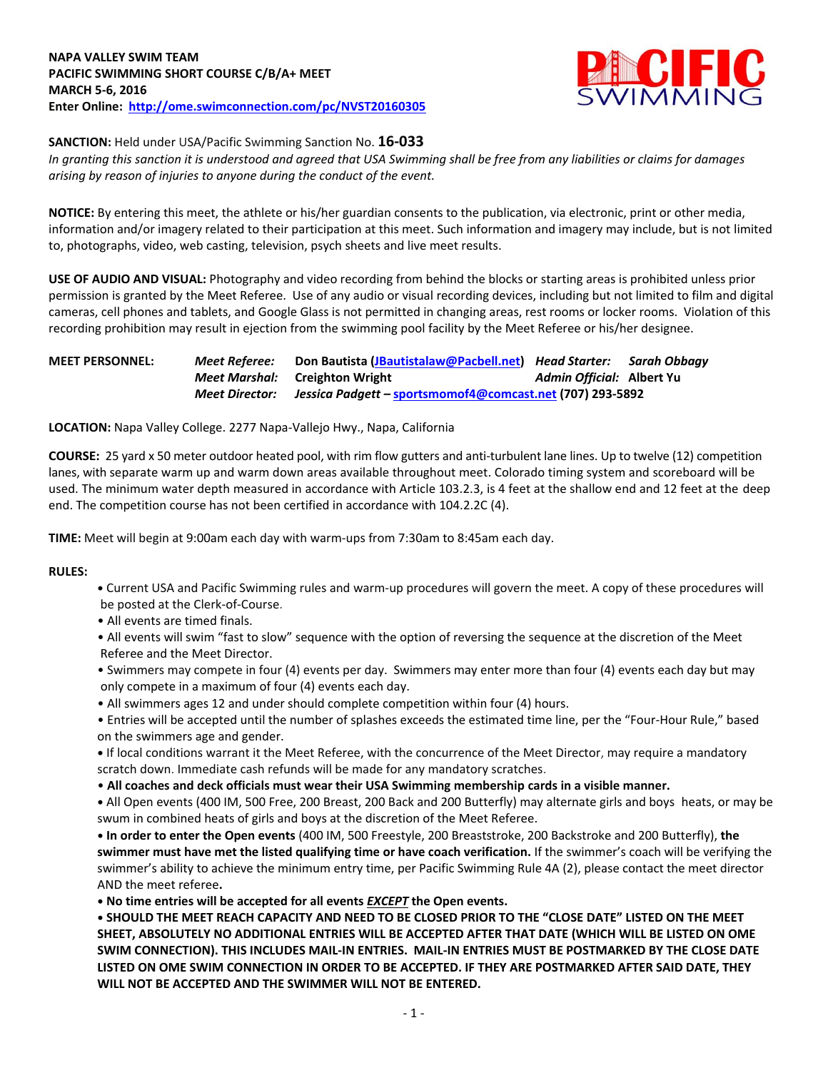

## **SANCTION:** Held under USA/Pacific Swimming Sanction No. **16-033**

*In granting this sanction it is understood and agreed that USA Swimming shall be free from any liabilities or claims for damages arising by reason of injuries to anyone during the conduct of the event.*

**NOTICE:** By entering this meet, the athlete or his/her guardian consents to the publication, via electronic, print or other media, information and/or imagery related to their participation at this meet. Such information and imagery may include, but is not limited to, photographs, video, web casting, television, psych sheets and live meet results.

**USE OF AUDIO AND VISUAL:** Photography and video recording from behind the blocks or starting areas is prohibited unless prior permission is granted by the Meet Referee. Use of any audio or visual recording devices, including but not limited to film and digital cameras, cell phones and tablets, and Google Glass is not permitted in changing areas, rest rooms or locker rooms. Violation of this recording prohibition may result in ejection from the swimming pool facility by the Meet Referee or his/her designee.

| <b>MEET PERSONNEL:</b> | Meet Referee:  | Don Bautista (JBautistalaw@Pacbell.net) Head Starter: Sarah Obbagy |                           |  |
|------------------------|----------------|--------------------------------------------------------------------|---------------------------|--|
|                        |                | <b>Meet Marshal:</b> Creighton Wright                              | Admin Official: Albert Yu |  |
|                        | Meet Director: | Jessica Padgett – sportsmomof4@comcast.net (707) 293-5892          |                           |  |

**LOCATION:** Napa Valley College. 2277 Napa-Vallejo Hwy., Napa, California

**COURSE:** 25 yard x 50 meter outdoor heated pool, with rim flow gutters and anti-turbulent lane lines. Up to twelve (12) competition lanes, with separate warm up and warm down areas available throughout meet. Colorado timing system and scoreboard will be used. The minimum water depth measured in accordance with Article 103.2.3, is 4 feet at the shallow end and 12 feet at the deep end. The competition course has not been certified in accordance with 104.2.2C (4).

**TIME:** Meet will begin at 9:00am each day with warm-ups from 7:30am to 8:45am each day.

#### **RULES:**

- **•** Current USA and Pacific Swimming rules and warm-up procedures will govern the meet. A copy of these procedures will be posted at the Clerk-of-Course.
- All events are timed finals.
- All events will swim "fast to slow" sequence with the option of reversing the sequence at the discretion of the Meet Referee and the Meet Director.
- Swimmers may compete in four (4) events per day. Swimmers may enter more than four (4) events each day but may only compete in a maximum of four (4) events each day.
- All swimmers ages 12 and under should complete competition within four (4) hours.
- Entries will be accepted until the number of splashes exceeds the estimated time line, per the "Four-Hour Rule," based on the swimmers age and gender.

**•** If local conditions warrant it the Meet Referee, with the concurrence of the Meet Director, may require a mandatory scratch down. Immediate cash refunds will be made for any mandatory scratches.

• **All coaches and deck officials must wear their USA Swimming membership cards in a visible manner.** 

**•** All Open events (400 IM, 500 Free, 200 Breast, 200 Back and 200 Butterfly) may alternate girls and boys heats, or may be swum in combined heats of girls and boys at the discretion of the Meet Referee.

**• In order to enter the Open events** (400 IM, 500 Freestyle, 200 Breaststroke, 200 Backstroke and 200 Butterfly), **the swimmer must have met the listed qualifying time or have coach verification.** If the swimmer's coach will be verifying the swimmer's ability to achieve the minimum entry time, per Pacific Swimming Rule 4A (2), please contact the meet director AND the meet referee**.**

**• No time entries will be accepted for all events** *EXCEPT* **the Open events.**

**• SHOULD THE MEET REACH CAPACITY AND NEED TO BE CLOSED PRIOR TO THE "CLOSE DATE" LISTED ON THE MEET SHEET, ABSOLUTELY NO ADDITIONAL ENTRIES WILL BE ACCEPTED AFTER THAT DATE (WHICH WILL BE LISTED ON OME SWIM CONNECTION). THIS INCLUDES MAIL-IN ENTRIES. MAIL-IN ENTRIES MUST BE POSTMARKED BY THE CLOSE DATE LISTED ON OME SWIM CONNECTION IN ORDER TO BE ACCEPTED. IF THEY ARE POSTMARKED AFTER SAID DATE, THEY WILL NOT BE ACCEPTED AND THE SWIMMER WILL NOT BE ENTERED.**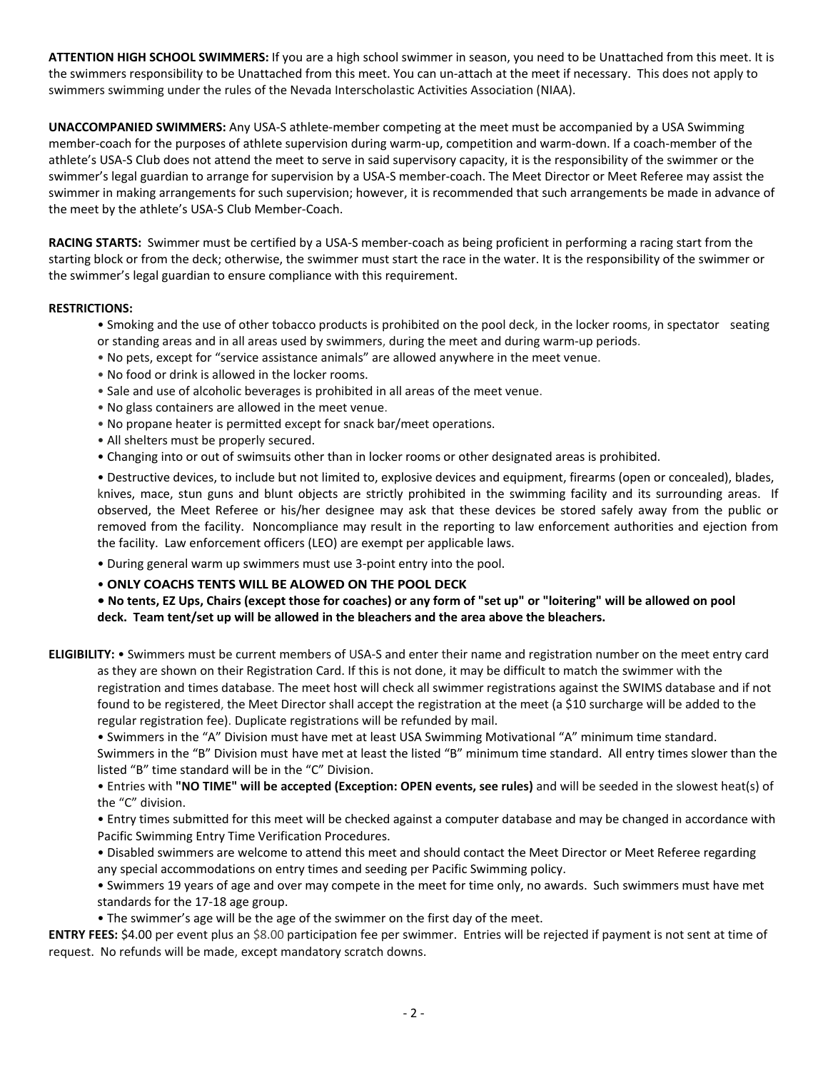**ATTENTION HIGH SCHOOL SWIMMERS:** If you are a high school swimmer in season, you need to be Unattached from this meet. It is the swimmers responsibility to be Unattached from this meet. You can un-attach at the meet if necessary. This does not apply to swimmers swimming under the rules of the Nevada Interscholastic Activities Association (NIAA).

**UNACCOMPANIED SWIMMERS:** Any USA-S athlete-member competing at the meet must be accompanied by a USA Swimming member-coach for the purposes of athlete supervision during warm-up, competition and warm-down. If a coach-member of the athlete's USA-S Club does not attend the meet to serve in said supervisory capacity, it is the responsibility of the swimmer or the swimmer's legal guardian to arrange for supervision by a USA-S member-coach. The Meet Director or Meet Referee may assist the swimmer in making arrangements for such supervision; however, it is recommended that such arrangements be made in advance of the meet by the athlete's USA-S Club Member-Coach.

**RACING STARTS:** Swimmer must be certified by a USA-S member-coach as being proficient in performing a racing start from the starting block or from the deck; otherwise, the swimmer must start the race in the water. It is the responsibility of the swimmer or the swimmer's legal guardian to ensure compliance with this requirement.

### **RESTRICTIONS:**

- Smoking and the use of other tobacco products is prohibited on the pool deck, in the locker rooms, in spectator seating or standing areas and in all areas used by swimmers, during the meet and during warm-up periods.
- No pets, except for "service assistance animals" are allowed anywhere in the meet venue.
- No food or drink is allowed in the locker rooms.
- Sale and use of alcoholic beverages is prohibited in all areas of the meet venue.
- No glass containers are allowed in the meet venue.
- No propane heater is permitted except for snack bar/meet operations.
- All shelters must be properly secured.
- Changing into or out of swimsuits other than in locker rooms or other designated areas is prohibited.

• Destructive devices, to include but not limited to, explosive devices and equipment, firearms (open or concealed), blades, knives, mace, stun guns and blunt objects are strictly prohibited in the swimming facility and its surrounding areas. If observed, the Meet Referee or his/her designee may ask that these devices be stored safely away from the public or removed from the facility. Noncompliance may result in the reporting to law enforcement authorities and ejection from the facility. Law enforcement officers (LEO) are exempt per applicable laws.

• During general warm up swimmers must use 3-point entry into the pool.

• **ONLY COACHS TENTS WILL BE ALOWED ON THE POOL DECK**

**• No tents, EZ Ups, Chairs (except those for coaches) or any form of "set up" or "loitering" will be allowed on pool deck. Team tent/set up will be allowed in the bleachers and the area above the bleachers.** 

**ELIGIBILITY:** • Swimmers must be current members of USA-S and enter their name and registration number on the meet entry card as they are shown on their Registration Card. If this is not done, it may be difficult to match the swimmer with the registration and times database. The meet host will check all swimmer registrations against the SWIMS database and if not found to be registered, the Meet Director shall accept the registration at the meet (a \$10 surcharge will be added to the regular registration fee). Duplicate registrations will be refunded by mail.

• Swimmers in the "A" Division must have met at least USA Swimming Motivational "A" minimum time standard.

Swimmers in the "B" Division must have met at least the listed "B" minimum time standard. All entry times slower than the listed "B" time standard will be in the "C" Division.

• Entries with **"NO TIME" will be accepted (Exception: OPEN events, see rules)** and will be seeded in the slowest heat(s) of the "C" division.

• Entry times submitted for this meet will be checked against a computer database and may be changed in accordance with Pacific Swimming Entry Time Verification Procedures.

• Disabled swimmers are welcome to attend this meet and should contact the Meet Director or Meet Referee regarding any special accommodations on entry times and seeding per Pacific Swimming policy.

• Swimmers 19 years of age and over may compete in the meet for time only, no awards. Such swimmers must have met standards for the 17-18 age group.

• The swimmer's age will be the age of the swimmer on the first day of the meet.

**ENTRY FEES:** \$4.00 per event plus an \$8.00 participation fee per swimmer. Entries will be rejected if payment is not sent at time of request. No refunds will be made, except mandatory scratch downs.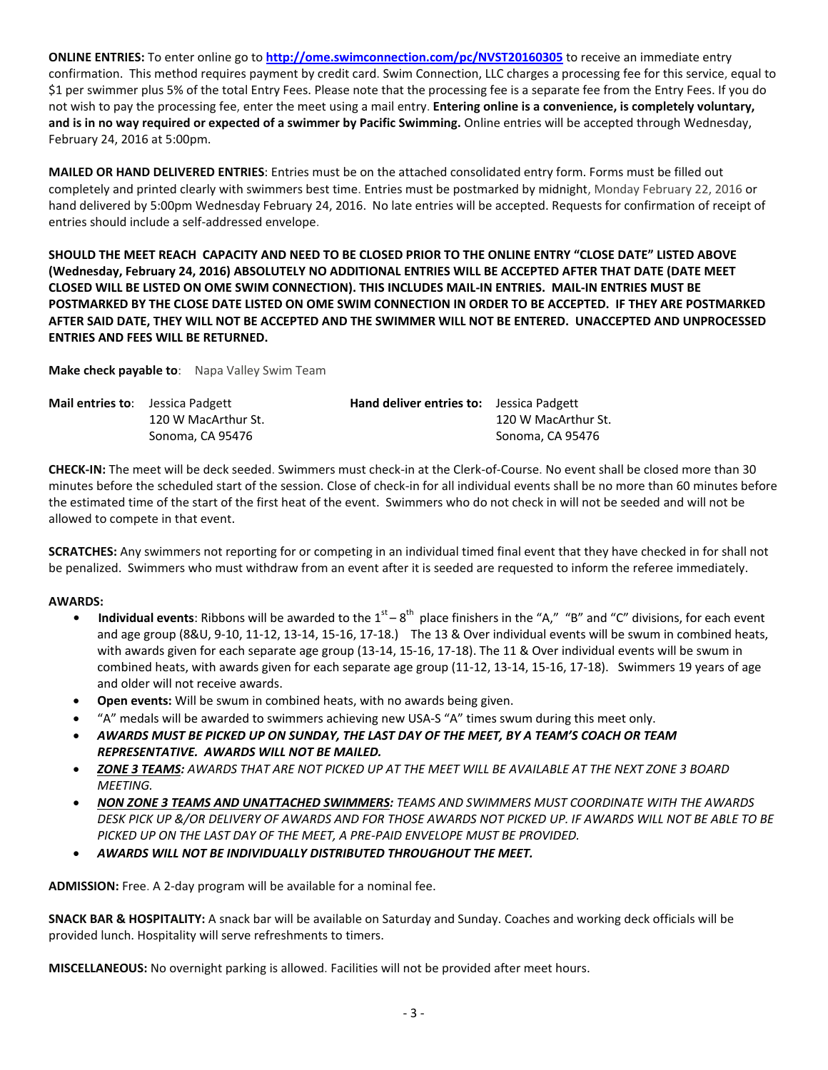**ONLINE ENTRIES:** To enter online go to **<http://ome.swimconnection.com/pc/NVST20160305>** to receive an immediate entry confirmation. This method requires payment by credit card. Swim Connection, LLC charges a processing fee for this service, equal to \$1 per swimmer plus 5% of the total Entry Fees. Please note that the processing fee is a separate fee from the Entry Fees. If you do not wish to pay the processing fee, enter the meet using a mail entry. **Entering online is a convenience, is completely voluntary, and is in no way required or expected of a swimmer by Pacific Swimming.** Online entries will be accepted through Wednesday, February 24, 2016 at 5:00pm.

**MAILED OR HAND DELIVERED ENTRIES**: Entries must be on the attached consolidated entry form. Forms must be filled out completely and printed clearly with swimmers best time. Entries must be postmarked by midnight, Monday February 22, 2016 or hand delivered by 5:00pm Wednesday February 24, 2016. No late entries will be accepted. Requests for confirmation of receipt of entries should include a self-addressed envelope.

**SHOULD THE MEET REACH CAPACITY AND NEED TO BE CLOSED PRIOR TO THE ONLINE ENTRY "CLOSE DATE" LISTED ABOVE (Wednesday, February 24, 2016) ABSOLUTELY NO ADDITIONAL ENTRIES WILL BE ACCEPTED AFTER THAT DATE (DATE MEET CLOSED WILL BE LISTED ON OME SWIM CONNECTION). THIS INCLUDES MAIL-IN ENTRIES. MAIL-IN ENTRIES MUST BE POSTMARKED BY THE CLOSE DATE LISTED ON OME SWIM CONNECTION IN ORDER TO BE ACCEPTED. IF THEY ARE POSTMARKED AFTER SAID DATE, THEY WILL NOT BE ACCEPTED AND THE SWIMMER WILL NOT BE ENTERED. UNACCEPTED AND UNPROCESSED ENTRIES AND FEES WILL BE RETURNED.**

**Make check payable to**: Napa Valley Swim Team

| <b>Mail entries to:</b> Jessica Padgett |                     | <b>Hand deliver entries to:</b> Jessica Padgett |                     |
|-----------------------------------------|---------------------|-------------------------------------------------|---------------------|
|                                         | 120 W MacArthur St. |                                                 | 120 W MacArthur St. |
|                                         | Sonoma, CA 95476    |                                                 | Sonoma, CA 95476    |

**CHECK-IN:** The meet will be deck seeded. Swimmers must check-in at the Clerk-of-Course. No event shall be closed more than 30 minutes before the scheduled start of the session. Close of check-in for all individual events shall be no more than 60 minutes before the estimated time of the start of the first heat of the event. Swimmers who do not check in will not be seeded and will not be allowed to compete in that event.

**SCRATCHES:** Any swimmers not reporting for or competing in an individual timed final event that they have checked in for shall not be penalized. Swimmers who must withdraw from an event after it is seeded are requested to inform the referee immediately.

## **AWARDS:**

- **Individual events**: Ribbons will be awarded to the 1<sup>st</sup> 8<sup>th</sup> place finishers in the "A," "B" and "C" divisions, for each event and age group (8&U, 9-10, 11-12, 13-14, 15-16, 17-18.) The 13 & Over individual events will be swum in combined heats, with awards given for each separate age group (13-14, 15-16, 17-18). The 11 & Over individual events will be swum in combined heats, with awards given for each separate age group (11-12, 13-14, 15-16, 17-18). Swimmers 19 years of age and older will not receive awards.
- **Open events:** Will be swum in combined heats, with no awards being given.
- "A" medals will be awarded to swimmers achieving new USA-S "A" times swum during this meet only.
- *AWARDS MUST BE PICKED UP ON SUNDAY, THE LAST DAY OF THE MEET, BY A TEAM'S COACH OR TEAM REPRESENTATIVE. AWARDS WILL NOT BE MAILED.*
- *ZONE 3 TEAMS: AWARDS THAT ARE NOT PICKED UP AT THE MEET WILL BE AVAILABLE AT THE NEXT ZONE 3 BOARD MEETING.*
- *NON ZONE 3 TEAMS AND UNATTACHED SWIMMERS: TEAMS AND SWIMMERS MUST COORDINATE WITH THE AWARDS DESK PICK UP &/OR DELIVERY OF AWARDS AND FOR THOSE AWARDS NOT PICKED UP. IF AWARDS WILL NOT BE ABLE TO BE PICKED UP ON THE LAST DAY OF THE MEET, A PRE-PAID ENVELOPE MUST BE PROVIDED.*
- *AWARDS WILL NOT BE INDIVIDUALLY DISTRIBUTED THROUGHOUT THE MEET.*

**ADMISSION:** Free. A 2-day program will be available for a nominal fee.

**SNACK BAR & HOSPITALITY:** A snack bar will be available on Saturday and Sunday. Coaches and working deck officials will be provided lunch. Hospitality will serve refreshments to timers.

**MISCELLANEOUS:** No overnight parking is allowed. Facilities will not be provided after meet hours.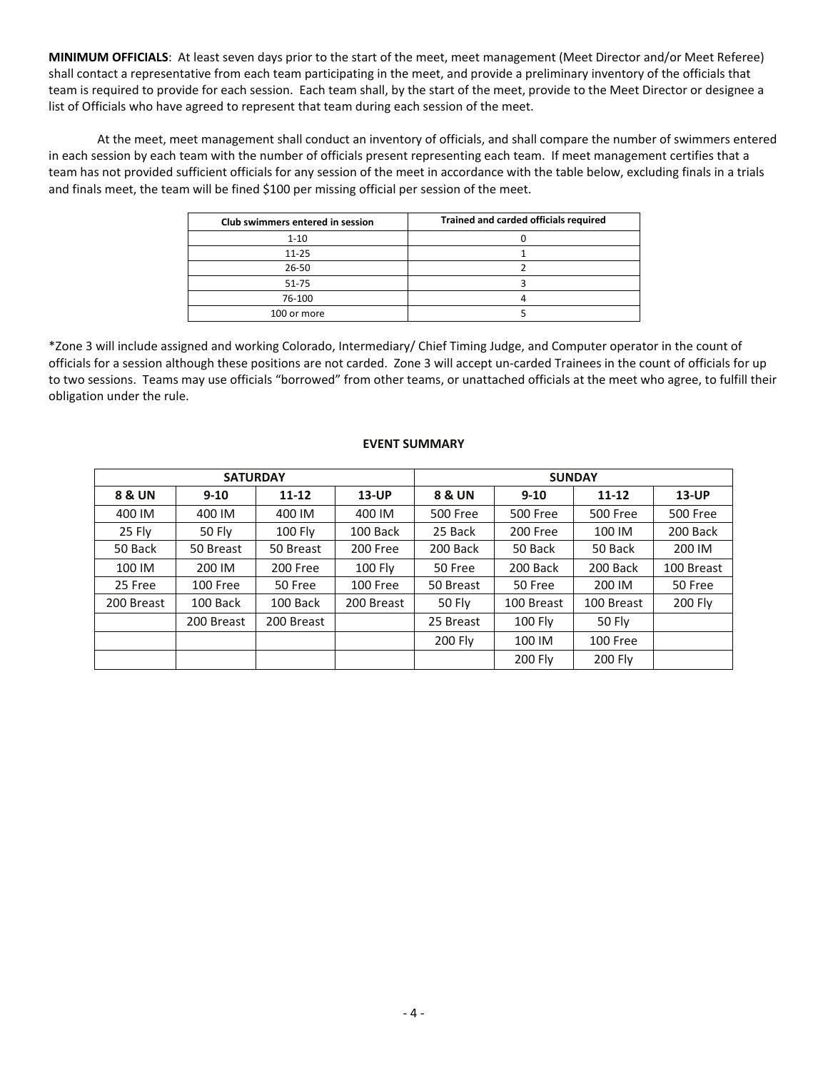**MINIMUM OFFICIALS**: At least seven days prior to the start of the meet, meet management (Meet Director and/or Meet Referee) shall contact a representative from each team participating in the meet, and provide a preliminary inventory of the officials that team is required to provide for each session. Each team shall, by the start of the meet, provide to the Meet Director or designee a list of Officials who have agreed to represent that team during each session of the meet.

At the meet, meet management shall conduct an inventory of officials, and shall compare the number of swimmers entered in each session by each team with the number of officials present representing each team. If meet management certifies that a team has not provided sufficient officials for any session of the meet in accordance with the table below, excluding finals in a trials and finals meet, the team will be fined \$100 per missing official per session of the meet.

| Club swimmers entered in session | Trained and carded officials required |
|----------------------------------|---------------------------------------|
| $1 - 10$                         |                                       |
| $11 - 25$                        |                                       |
| $26 - 50$                        |                                       |
| $51 - 75$                        |                                       |
| 76-100                           |                                       |
| 100 or more                      |                                       |

\*Zone 3 will include assigned and working Colorado, Intermediary/ Chief Timing Judge, and Computer operator in the count of officials for a session although these positions are not carded. Zone 3 will accept un-carded Trainees in the count of officials for up to two sessions. Teams may use officials "borrowed" from other teams, or unattached officials at the meet who agree, to fulfill their obligation under the rule.

# **EVENT SUMMARY**

|                   | <b>SATURDAY</b> |                |            | <b>SUNDAY</b>       |                |                 |                 |  |  |
|-------------------|-----------------|----------------|------------|---------------------|----------------|-----------------|-----------------|--|--|
| <b>8 &amp; UN</b> | $9-10$          | $11 - 12$      | $13$ -UP   | <b>8 &amp; UN</b>   | $9 - 10$       | $11 - 12$       | <b>13-UP</b>    |  |  |
| 400 IM            | 400 IM          | 400 IM         | 400 IM     | <b>500 Free</b>     | 500 Free       | <b>500 Free</b> | <b>500 Free</b> |  |  |
| 25 Fly            | 50 Fly          | <b>100 Fly</b> | 100 Back   | 25 Back             | 200 Free       | 100 IM          | 200 Back        |  |  |
| 50 Back           | 50 Breast       | 50 Breast      | 200 Free   | 200 Back            | 50 Back        | 50 Back         | 200 IM          |  |  |
| 100 IM            | 200 IM          | 200 Free       | 100 Fly    | 200 Back<br>50 Free |                | 200 Back        | 100 Breast      |  |  |
| 25 Free           | 100 Free        | 50 Free        | 100 Free   | 50 Breast           | 50 Free        | 200 IM          | 50 Free         |  |  |
| 200 Breast        | 100 Back        | 100 Back       | 200 Breast | 50 Fly              | 100 Breast     | 100 Breast      | 200 Fly         |  |  |
|                   | 200 Breast      | 200 Breast     |            | 25 Breast           | <b>100 Fly</b> | 50 Fly          |                 |  |  |
|                   |                 |                |            | 200 Fly             | 100 IM         | 100 Free        |                 |  |  |
|                   |                 |                |            |                     | 200 Fly        | 200 Fly         |                 |  |  |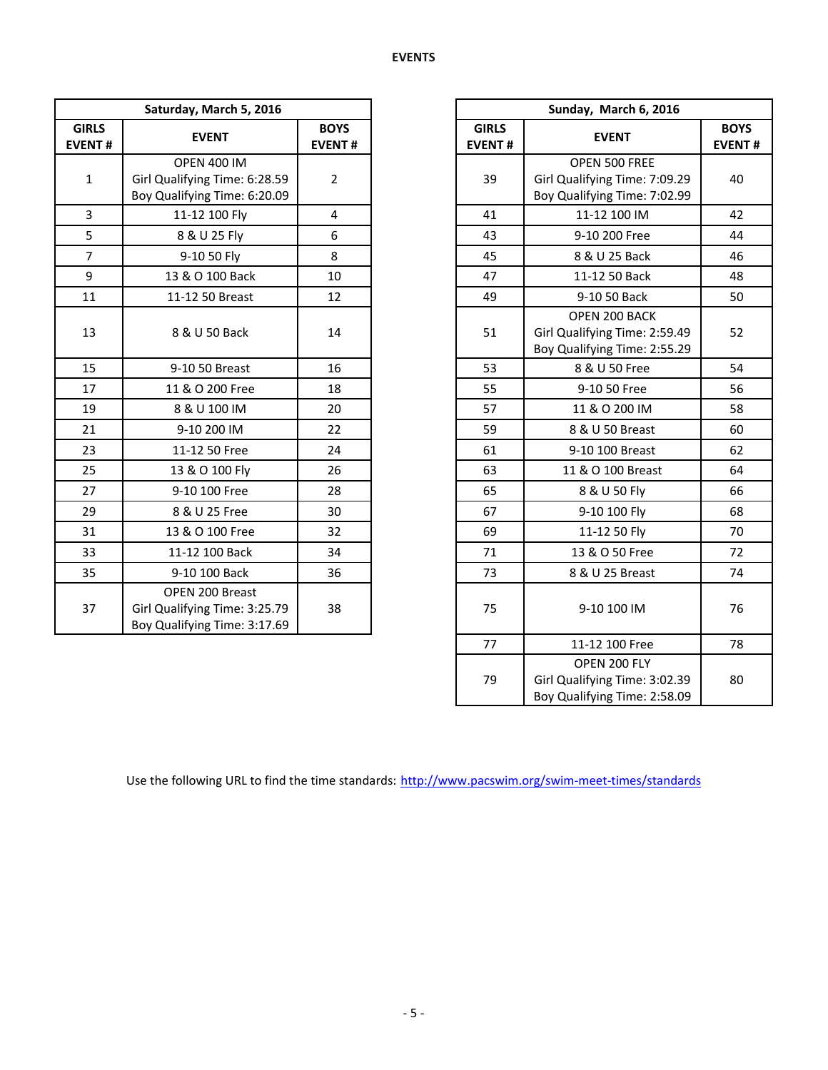|                               | Saturday, March 5, 2016                                                             |                              |                               | Sunday, March 6, 2016                                                          |                           |
|-------------------------------|-------------------------------------------------------------------------------------|------------------------------|-------------------------------|--------------------------------------------------------------------------------|---------------------------|
| <b>GIRLS</b><br><b>EVENT#</b> | <b>EVENT</b>                                                                        | <b>BOYS</b><br><b>EVENT#</b> | <b>GIRLS</b><br><b>EVENT#</b> | <b>EVENT</b>                                                                   | <b>BOY</b><br><b>EVEN</b> |
| $\mathbf{1}$                  | <b>OPEN 400 IM</b><br>Girl Qualifying Time: 6:28.59<br>Boy Qualifying Time: 6:20.09 | $\overline{2}$               | 39                            | OPEN 500 FREE<br>Girl Qualifying Time: 7:09.29<br>Boy Qualifying Time: 7:02.99 | 40                        |
| $\overline{3}$                | 11-12 100 Fly                                                                       | 4                            | 41                            | 11-12 100 IM                                                                   | 42                        |
| 5                             | 8 & U 25 Fly                                                                        | 6                            | 43                            | 9-10 200 Free                                                                  | 44                        |
| $\overline{7}$                | 9-10 50 Fly                                                                         | 8                            | 45                            | 8 & U 25 Back                                                                  | 46                        |
| 9                             | 13 & O 100 Back                                                                     | 10                           | 47                            | 11-12 50 Back                                                                  | 48                        |
| 11                            | 11-12 50 Breast                                                                     | 12                           | 49                            | 9-10 50 Back                                                                   | 50                        |
| 13                            | 8 & U 50 Back                                                                       | 14                           | 51                            | OPEN 200 BACK<br>Girl Qualifying Time: 2:59.49<br>Boy Qualifying Time: 2:55.29 | 52                        |
| 15                            | 9-10 50 Breast                                                                      | 16                           | 53                            | 8 & U 50 Free                                                                  | 54                        |
| 17                            | 11 & O 200 Free                                                                     | 18                           | 55                            | 9-10 50 Free                                                                   | 56                        |
| 19                            | 8 & U 100 IM                                                                        | 20                           | 57                            | 11 & O 200 IM                                                                  | 58                        |
| 21                            | 9-10 200 IM                                                                         | 22                           | 59                            | 8 & U 50 Breast                                                                | 60                        |
| 23                            | 11-12 50 Free                                                                       | 24                           | 61                            | 9-10 100 Breast                                                                | 62                        |
| 25                            | 13 & O 100 Fly                                                                      | 26                           | 63                            | 11 & O 100 Breast                                                              | 64                        |
| 27                            | 9-10 100 Free                                                                       | 28                           | 65                            | 8 & U 50 Fly                                                                   | 66                        |
| 29                            | 8 & U 25 Free                                                                       | 30                           | 67                            | 9-10 100 Fly                                                                   | 68                        |
| 31                            | 13 & O 100 Free                                                                     | 32                           | 69                            | 11-12 50 Fly                                                                   | 70                        |
| 33                            | 11-12 100 Back                                                                      | 34                           | 71                            | 13 & O 50 Free                                                                 | 72                        |
| 35                            | 9-10 100 Back                                                                       | 36                           | 73                            | 8 & U 25 Breast                                                                | 74                        |
| 37                            | OPEN 200 Breast<br>Girl Qualifying Time: 3:25.79<br>Boy Qualifying Time: 3:17.69    | 38                           | 75                            | 9-10 100 IM                                                                    | 76                        |

|                   | Saturday, March 5, 2016                                                             |                              |                               | Sunday, March 6, 2016                                                          |  |
|-------------------|-------------------------------------------------------------------------------------|------------------------------|-------------------------------|--------------------------------------------------------------------------------|--|
| <b>RLS</b><br>NT# | <b>EVENT</b>                                                                        | <b>BOYS</b><br><b>EVENT#</b> | <b>GIRLS</b><br><b>EVENT#</b> | <b>EVENT</b>                                                                   |  |
| 1                 | <b>OPEN 400 IM</b><br>Girl Qualifying Time: 6:28.59<br>Boy Qualifying Time: 6:20.09 | $\overline{2}$               | 39                            | OPEN 500 FREE<br>Girl Qualifying Time: 7:09.29<br>Boy Qualifying Time: 7:02.99 |  |
| 3                 | 11-12 100 Fly                                                                       | $\overline{\mathbf{4}}$      | 41                            | 11-12 100 IM                                                                   |  |
| $\frac{5}{7}$     | 8 & U 25 Fly                                                                        | 6                            | 43                            | 9-10 200 Free                                                                  |  |
|                   | 9-10 50 Fly                                                                         | 8                            | 45                            | 8 & U 25 Back                                                                  |  |
| 9                 | 13 & O 100 Back                                                                     | 10                           | 47                            | 11-12 50 Back                                                                  |  |
| $\overline{1}$    | 11-12 50 Breast                                                                     | 12                           | 49                            | 9-10 50 Back                                                                   |  |
| L3                | 8 & U 50 Back                                                                       | 14                           | 51                            | OPEN 200 BACK<br>Girl Qualifying Time: 2:59.49<br>Boy Qualifying Time: 2:55.29 |  |
| L5                | 9-10 50 Breast                                                                      | 16                           | 53                            | 8 & U 50 Free                                                                  |  |
| $\overline{17}$   | 11 & O 200 Free                                                                     | 18                           | 55                            | 9-10 50 Free                                                                   |  |
| L9                | 8 & U 100 IM                                                                        | 20                           | 57                            | 11 & O 200 IM                                                                  |  |
| $\overline{21}$   | 9-10 200 IM                                                                         | 22                           | 59                            | 8 & U 50 Breast                                                                |  |
| $^{23}$           | 11-12 50 Free                                                                       | 24                           | 61                            | 9-10 100 Breast                                                                |  |
| 25                | 13 & O 100 Fly                                                                      | 26                           | 63                            | 11 & O 100 Breast                                                              |  |
| 27                | 9-10 100 Free                                                                       | 28                           | 65                            | 8 & U 50 Fly                                                                   |  |
| 29                | 8 & U 25 Free                                                                       | 30                           | 67                            | 9-10 100 Fly                                                                   |  |
| $^{31}$           | 13 & O 100 Free                                                                     | 32                           | 69                            | 11-12 50 Fly                                                                   |  |
| 33                | 11-12 100 Back                                                                      | 34                           | 71                            | 13 & O 50 Free                                                                 |  |
| 35 <sub>2</sub>   | 9-10 100 Back                                                                       | 36                           | 73                            | 8 & U 25 Breast                                                                |  |
| 37                | OPEN 200 Breast<br>Girl Qualifying Time: 3:25.79<br>Boy Qualifying Time: 3:17.69    | 38                           | 75                            | 9-10 100 IM                                                                    |  |
|                   |                                                                                     |                              | 77                            | 11-12 100 Free                                                                 |  |
|                   |                                                                                     |                              | 79                            | OPEN 200 FLY<br>Girl Qualifying Time: 3:02.39<br>Boy Qualifying Time: 2:58.09  |  |

Use the following URL to find the time standards: <http://www.pacswim.org/swim-meet-times/standards>